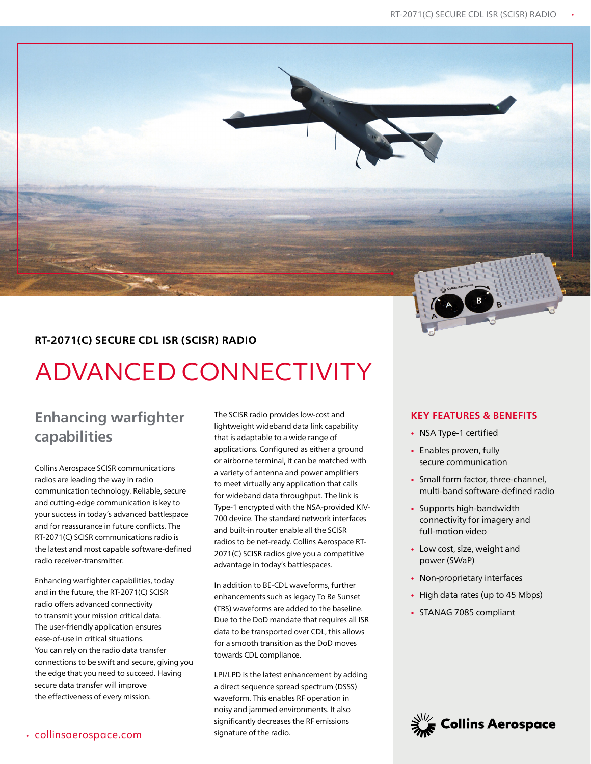### **RT-2071(C) SECURE CDL ISR (SCISR) RADIO**

# ADVANCED CONNECTIVITY

## **Enhancing warfighter capabilities**

Collins Aerospace SCISR communications radios are leading the way in radio communication technology. Reliable, secure and cutting-edge communication is key to your success in today's advanced battlespace and for reassurance in future conflicts. The RT-2071(C) SCISR communications radio is the latest and most capable software-defined radio receiver-transmitter.

Enhancing warfighter capabilities, today and in the future, the RT-2071(C) SCISR radio offers advanced connectivity to transmit your mission critical data. The user-friendly application ensures ease-of-use in critical situations. You can rely on the radio data transfer connections to be swift and secure, giving you the edge that you need to succeed. Having secure data transfer will improve the effectiveness of every mission.

The SCISR radio provides low-cost and lightweight wideband data link capability that is adaptable to a wide range of applications. Configured as either a ground or airborne terminal, it can be matched with a variety of antenna and power amplifiers to meet virtually any application that calls for wideband data throughput. The link is Type-1 encrypted with the NSA-provided KIV-700 device. The standard network interfaces and built-in router enable all the SCISR radios to be net-ready. Collins Aerospace RT-2071(C) SCISR radios give you a competitive advantage in today's battlespaces.

In addition to BE-CDL waveforms, further enhancements such as legacy To Be Sunset (TBS) waveforms are added to the baseline. Due to the DoD mandate that requires all ISR data to be transported over CDL, this allows for a smooth transition as the DoD moves towards CDL compliance.

LPI/LPD is the latest enhancement by adding a direct sequence spread spectrum (DSSS) waveform. This enables RF operation in noisy and jammed environments. It also significantly decreases the RF emissions signature of the radio.

#### **KEY FEATURES & BENEFITS**

- NSA Type-1 certified
- Enables proven, fully secure communication
- Small form factor, three-channel, multi-band software-defined radio
- Supports high-bandwidth connectivity for imagery and full-motion video
- Low cost, size, weight and power (SWaP)
- Non-proprietary interfaces
- High data rates (up to 45 Mbps)
- STANAG 7085 compliant